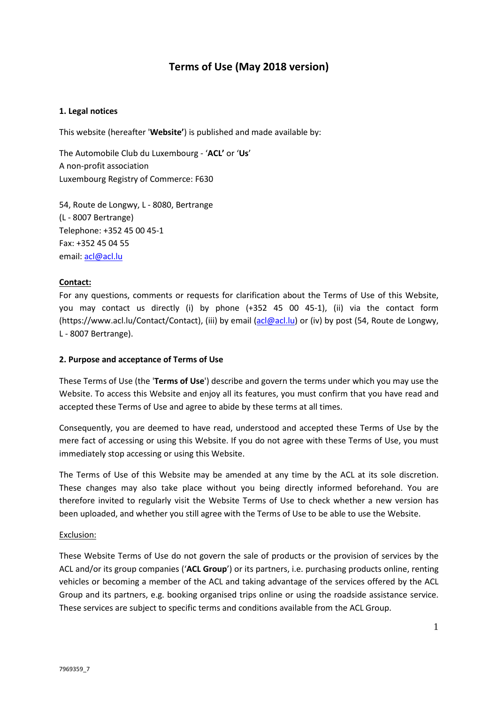# **Terms of Use (May 2018 version)**

## **1. Legal notices**

This website (hereafter '**Website'**) is published and made available by:

The Automobile Club du Luxembourg - '**ACL'** or '**Us**' A non-profit association Luxembourg Registry of Commerce: F630

54, Route de Longwy, L - 8080, Bertrange (L - 8007 Bertrange) Telephone: +352 45 00 45-1 Fax: +352 45 04 55 email: [acl@acl.lu](mailto:acl@acl.lu) 

## **Contact:**

For any questions, comments or requests for clarification about the Terms of Use of this Website, you may contact us directly (i) by phone (+352 45 00 45-1), (ii) via the contact form [\(https://www.acl.lu/Contact/Contact\)](https://www.acl.lu/Contacts/Contact), (iii) by email [\(acl@acl.lu\)](mailto:acl@acl.lu) or (iv) by post (54, Route de Longwy, L - 8007 Bertrange).

### **2. Purpose and acceptance of Terms of Use**

These Terms of Use (the '**Terms of Use**') describe and govern the terms under which you may use the Website. To access this Website and enjoy all its features, you must confirm that you have read and accepted these Terms of Use and agree to abide by these terms at all times.

Consequently, you are deemed to have read, understood and accepted these Terms of Use by the mere fact of accessing or using this Website. If you do not agree with these Terms of Use, you must immediately stop accessing or using this Website.

The Terms of Use of this Website may be amended at any time by the ACL at its sole discretion. These changes may also take place without you being directly informed beforehand. You are therefore invited to regularly visit the Website Terms of Use to check whether a new version has been uploaded, and whether you still agree with the Terms of Use to be able to use the Website.

### Exclusion:

These Website Terms of Use do not govern the sale of products or the provision of services by the ACL and/or its group companies ('**ACL Group**') or its partners, i.e. purchasing products online, renting vehicles or becoming a member of the ACL and taking advantage of the services offered by the ACL Group and its partners, e.g. booking organised trips online or using the roadside assistance service. These services are subject to specific terms and conditions available from the ACL Group.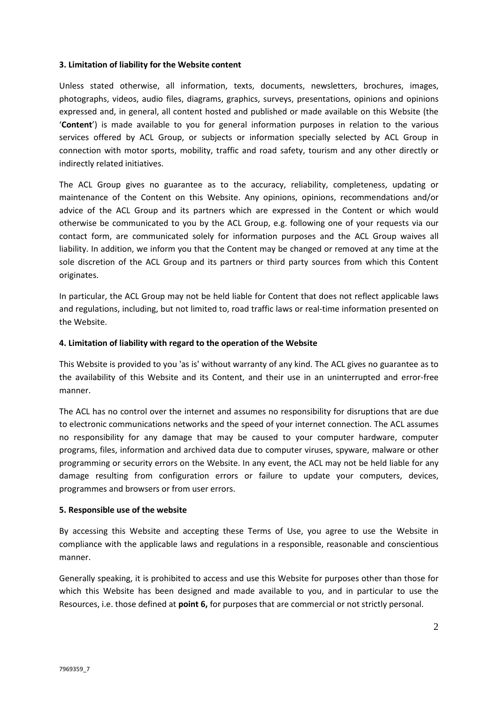### **3. Limitation of liability for the Website content**

Unless stated otherwise, all information, texts, documents, newsletters, brochures, images, photographs, videos, audio files, diagrams, graphics, surveys, presentations, opinions and opinions expressed and, in general, all content hosted and published or made available on this Website (the '**Content**') is made available to you for general information purposes in relation to the various services offered by ACL Group, or subjects or information specially selected by ACL Group in connection with motor sports, mobility, traffic and road safety, tourism and any other directly or indirectly related initiatives.

The ACL Group gives no guarantee as to the accuracy, reliability, completeness, updating or maintenance of the Content on this Website. Any opinions, opinions, recommendations and/or advice of the ACL Group and its partners which are expressed in the Content or which would otherwise be communicated to you by the ACL Group, e.g. following one of your requests via our contact form, are communicated solely for information purposes and the ACL Group waives all liability. In addition, we inform you that the Content may be changed or removed at any time at the sole discretion of the ACL Group and its partners or third party sources from which this Content originates.

In particular, the ACL Group may not be held liable for Content that does not reflect applicable laws and regulations, including, but not limited to, road traffic laws or real-time information presented on the Website.

## **4. Limitation of liability with regard to the operation of the Website**

This Website is provided to you 'as is' without warranty of any kind. The ACL gives no guarantee as to the availability of this Website and its Content, and their use in an uninterrupted and error-free manner.

The ACL has no control over the internet and assumes no responsibility for disruptions that are due to electronic communications networks and the speed of your internet connection. The ACL assumes no responsibility for any damage that may be caused to your computer hardware, computer programs, files, information and archived data due to computer viruses, spyware, malware or other programming or security errors on the Website. In any event, the ACL may not be held liable for any damage resulting from configuration errors or failure to update your computers, devices, programmes and browsers or from user errors.

### **5. Responsible use of the website**

By accessing this Website and accepting these Terms of Use, you agree to use the Website in compliance with the applicable laws and regulations in a responsible, reasonable and conscientious manner.

Generally speaking, it is prohibited to access and use this Website for purposes other than those for which this Website has been designed and made available to you, and in particular to use the Resources, i.e. those defined at **point 6,** for purposes that are commercial or not strictly personal.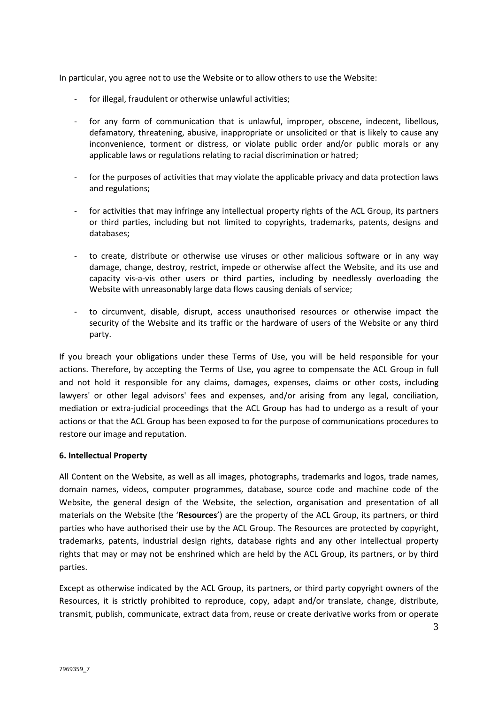In particular, you agree not to use the Website or to allow others to use the Website:

- for illegal, fraudulent or otherwise unlawful activities;
- for any form of communication that is unlawful, improper, obscene, indecent, libellous, defamatory, threatening, abusive, inappropriate or unsolicited or that is likely to cause any inconvenience, torment or distress, or violate public order and/or public morals or any applicable laws or regulations relating to racial discrimination or hatred;
- for the purposes of activities that may violate the applicable privacy and data protection laws and regulations;
- for activities that may infringe any intellectual property rights of the ACL Group, its partners or third parties, including but not limited to copyrights, trademarks, patents, designs and databases;
- to create, distribute or otherwise use viruses or other malicious software or in any way damage, change, destroy, restrict, impede or otherwise affect the Website, and its use and capacity vis-a-vis other users or third parties, including by needlessly overloading the Website with unreasonably large data flows causing denials of service;
- to circumvent, disable, disrupt, access unauthorised resources or otherwise impact the security of the Website and its traffic or the hardware of users of the Website or any third party.

If you breach your obligations under these Terms of Use, you will be held responsible for your actions. Therefore, by accepting the Terms of Use, you agree to compensate the ACL Group in full and not hold it responsible for any claims, damages, expenses, claims or other costs, including lawyers' or other legal advisors' fees and expenses, and/or arising from any legal, conciliation, mediation or extra-judicial proceedings that the ACL Group has had to undergo as a result of your actions or that the ACL Group has been exposed to for the purpose of communications procedures to restore our image and reputation.

### **6. Intellectual Property**

All Content on the Website, as well as all images, photographs, trademarks and logos, trade names, domain names, videos, computer programmes, database, source code and machine code of the Website, the general design of the Website, the selection, organisation and presentation of all materials on the Website (the '**Resources**') are the property of the ACL Group, its partners, or third parties who have authorised their use by the ACL Group. The Resources are protected by copyright, trademarks, patents, industrial design rights, database rights and any other intellectual property rights that may or may not be enshrined which are held by the ACL Group, its partners, or by third parties.

Except as otherwise indicated by the ACL Group, its partners, or third party copyright owners of the Resources, it is strictly prohibited to reproduce, copy, adapt and/or translate, change, distribute, transmit, publish, communicate, extract data from, reuse or create derivative works from or operate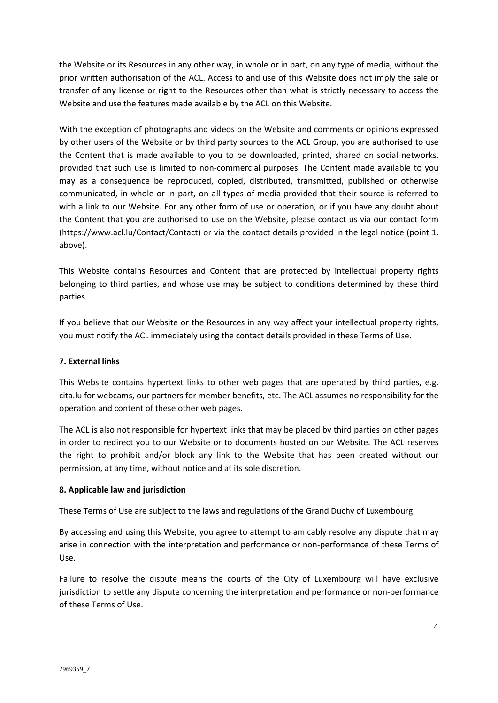the Website or its Resources in any other way, in whole or in part, on any type of media, without the prior written authorisation of the ACL. Access to and use of this Website does not imply the sale or transfer of any license or right to the Resources other than what is strictly necessary to access the Website and use the features made available by the ACL on this Website.

With the exception of photographs and videos on the Website and comments or opinions expressed by other users of the Website or by third party sources to the ACL Group, you are authorised to use the Content that is made available to you to be downloaded, printed, shared on social networks, provided that such use is limited to non-commercial purposes. The Content made available to you may as a consequence be reproduced, copied, distributed, transmitted, published or otherwise communicated, in whole or in part, on all types of media provided that their source is referred to with a link to our Website. For any other form of use or operation, or if you have any doubt about the Content that you are authorised to use on the Website, please contact us via our contact form [\(https://www.acl.lu/Contact/Contact\)](https://www.acl.lu/Contacts/Contact) or via the contact details provided in the legal notice (point 1. above).

This Website contains Resources and Content that are protected by intellectual property rights belonging to third parties, and whose use may be subject to conditions determined by these third parties.

If you believe that our Website or the Resources in any way affect your intellectual property rights, you must notify the ACL immediately using the contact details provided in these Terms of Use.

# **7. External links**

This Website contains hypertext links to other web pages that are operated by third parties, e.g. cita.lu for webcams, our partners for member benefits, etc. The ACL assumes no responsibility for the operation and content of these other web pages.

The ACL is also not responsible for hypertext links that may be placed by third parties on other pages in order to redirect you to our Website or to documents hosted on our Website. The ACL reserves the right to prohibit and/or block any link to the Website that has been created without our permission, at any time, without notice and at its sole discretion.

# **8. Applicable law and jurisdiction**

These Terms of Use are subject to the laws and regulations of the Grand Duchy of Luxembourg.

By accessing and using this Website, you agree to attempt to amicably resolve any dispute that may arise in connection with the interpretation and performance or non-performance of these Terms of Use.

Failure to resolve the dispute means the courts of the City of Luxembourg will have exclusive jurisdiction to settle any dispute concerning the interpretation and performance or non-performance of these Terms of Use.